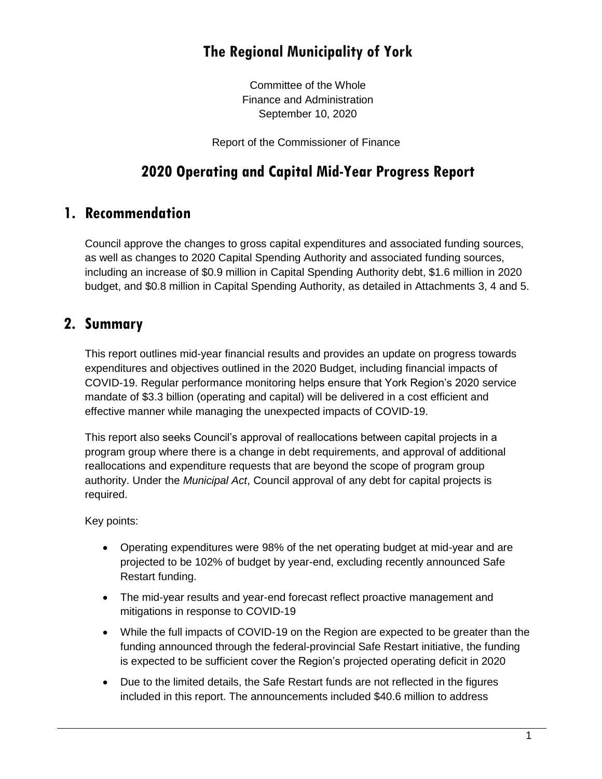# **The Regional Municipality of York**

Committee of the Whole Finance and Administration September 10, 2020

Report of the Commissioner of Finance

# **2020 Operating and Capital Mid-Year Progress Report**

## **1. Recommendation**

Council approve the changes to gross capital expenditures and associated funding sources, as well as changes to 2020 Capital Spending Authority and associated funding sources, including an increase of \$0.9 million in Capital Spending Authority debt, \$1.6 million in 2020 budget, and \$0.8 million in Capital Spending Authority, as detailed in Attachments 3, 4 and 5.

# **2. Summary**

This report outlines mid-year financial results and provides an update on progress towards expenditures and objectives outlined in the 2020 Budget, including financial impacts of COVID-19. Regular performance monitoring helps ensure that York Region's 2020 service mandate of \$3.3 billion (operating and capital) will be delivered in a cost efficient and effective manner while managing the unexpected impacts of COVID-19.

This report also seeks Council's approval of reallocations between capital projects in a program group where there is a change in debt requirements, and approval of additional reallocations and expenditure requests that are beyond the scope of program group authority. Under the *Municipal Act*, Council approval of any debt for capital projects is required.

Key points:

- Operating expenditures were 98% of the net operating budget at mid-year and are projected to be 102% of budget by year-end, excluding recently announced Safe Restart funding.
- The mid-year results and year-end forecast reflect proactive management and mitigations in response to COVID-19
- While the full impacts of COVID-19 on the Region are expected to be greater than the funding announced through the federal-provincial Safe Restart initiative, the funding is expected to be sufficient cover the Region's projected operating deficit in 2020
- Due to the limited details, the Safe Restart funds are not reflected in the figures included in this report. The announcements included \$40.6 million to address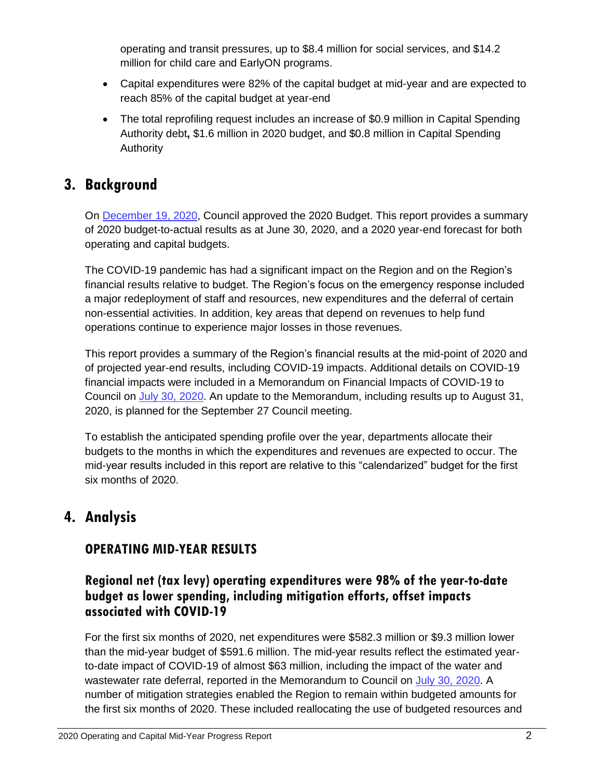operating and transit pressures, up to \$8.4 million for social services, and \$14.2 million for child care and EarlyON programs.

- Capital expenditures were 82% of the capital budget at mid-year and are expected to reach 85% of the capital budget at year-end
- The total reprofiling request includes an increase of \$0.9 million in Capital Spending Authority debt**,** \$1.6 million in 2020 budget, and \$0.8 million in Capital Spending Authority

# **3. Background**

On [December 19, 2020,](https://yorkpublishing.escribemeetings.com/filestream.ashx?DocumentId=10060) Council approved the 2020 Budget. This report provides a summary of 2020 budget-to-actual results as at June 30, 2020, and a 2020 year-end forecast for both operating and capital budgets.

The COVID-19 pandemic has had a significant impact on the Region and on the Region's financial results relative to budget. The Region's focus on the emergency response included a major redeployment of staff and resources, new expenditures and the deferral of certain non-essential activities. In addition, key areas that depend on revenues to help fund operations continue to experience major losses in those revenues.

This report provides a summary of the Region's financial results at the mid-point of 2020 and of projected year-end results, including COVID-19 impacts. Additional details on COVID-19 financial impacts were included in a Memorandum on Financial Impacts of COVID-19 to Council on [July 30, 2020.](https://yorkpublishing.escribemeetings.com/Meeting.aspx?Id=85e2a292-a9be-41ee-b1e3-0474af6deffc&Agenda=Merged&lang=English&Item=15) An update to the Memorandum, including results up to August 31, 2020, is planned for the September 27 Council meeting.

To establish the anticipated spending profile over the year, departments allocate their budgets to the months in which the expenditures and revenues are expected to occur. The mid-year results included in this report are relative to this "calendarized" budget for the first six months of 2020.

# **4. Analysis**

## **OPERATING MID-YEAR RESULTS**

### **Regional net (tax levy) operating expenditures were 98% of the year-to-date budget as lower spending, including mitigation efforts, offset impacts associated with COVID-19**

For the first six months of 2020, net expenditures were \$582.3 million or \$9.3 million lower than the mid-year budget of \$591.6 million. The mid-year results reflect the estimated yearto-date impact of COVID-19 of almost \$63 million, including the impact of the water and wastewater rate deferral, reported in the Memorandum to Council on [July 30, 2020.](https://yorkpublishing.escribemeetings.com/Meeting.aspx?Id=85e2a292-a9be-41ee-b1e3-0474af6deffc&Agenda=Merged&lang=English&Item=15) A number of mitigation strategies enabled the Region to remain within budgeted amounts for the first six months of 2020. These included reallocating the use of budgeted resources and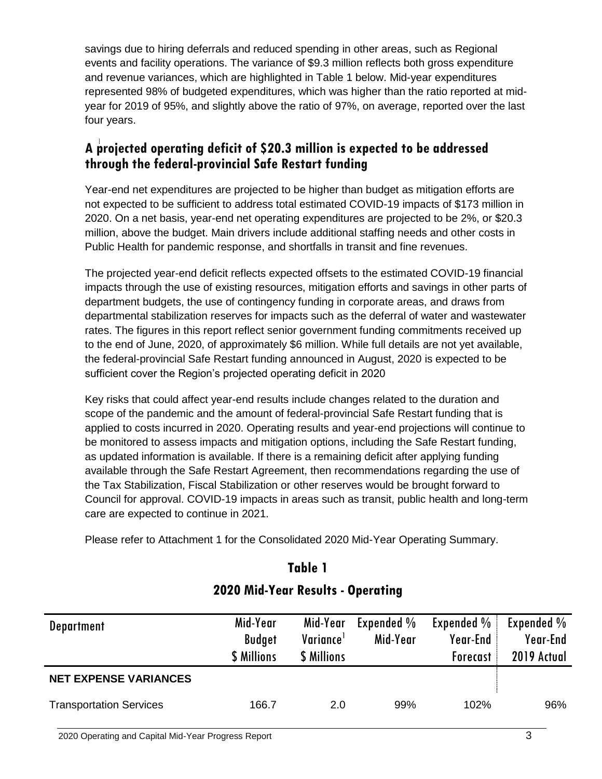savings due to hiring deferrals and reduced spending in other areas, such as Regional events and facility operations. The variance of \$9.3 million reflects both gross expenditure and revenue variances, which are highlighted in Table 1 below. Mid-year expenditures represented 98% of budgeted expenditures, which was higher than the ratio reported at midyear for 2019 of 95%, and slightly above the ratio of 97%, on average, reported over the last four years.

### **A projected operating deficit of \$20.3 million is expected to be addressed through the federal-provincial Safe Restart funding**

Year-end net expenditures are projected to be higher than budget as mitigation efforts are not expected to be sufficient to address total estimated COVID-19 impacts of \$173 million in 2020. On a net basis, year-end net operating expenditures are projected to be 2%, or \$20.3 million, above the budget. Main drivers include additional staffing needs and other costs in Public Health for pandemic response, and shortfalls in transit and fine revenues.

The projected year-end deficit reflects expected offsets to the estimated COVID-19 financial impacts through the use of existing resources, mitigation efforts and savings in other parts of department budgets, the use of contingency funding in corporate areas, and draws from departmental stabilization reserves for impacts such as the deferral of water and wastewater rates. The figures in this report reflect senior government funding commitments received up to the end of June, 2020, of approximately \$6 million. While full details are not yet available, the federal-provincial Safe Restart funding announced in August, 2020 is expected to be sufficient cover the Region's projected operating deficit in 2020

Key risks that could affect year-end results include changes related to the duration and scope of the pandemic and the amount of federal-provincial Safe Restart funding that is applied to costs incurred in 2020. Operating results and year-end projections will continue to be monitored to assess impacts and mitigation options, including the Safe Restart funding, as updated information is available. If there is a remaining deficit after applying funding available through the Safe Restart Agreement, then recommendations regarding the use of the Tax Stabilization, Fiscal Stabilization or other reserves would be brought forward to Council for approval. COVID-19 impacts in areas such as transit, public health and long-term care are expected to continue in 2021.

Please refer to Attachment 1 for the Consolidated 2020 Mid-Year Operating Summary.

| <b>Department</b>              | Mid-Year<br><b>Budget</b><br>\$ Millions | Mid-Year<br>Variance <sup>1</sup><br><b>\$ Millions</b> | Expended $\%$<br>Mid-Year | Expended %<br>Year-End<br><b>Forecast</b> | Expended %<br>Year-End<br>2019 Actual |
|--------------------------------|------------------------------------------|---------------------------------------------------------|---------------------------|-------------------------------------------|---------------------------------------|
| <b>NET EXPENSE VARIANCES</b>   |                                          |                                                         |                           |                                           |                                       |
| <b>Transportation Services</b> | 166.7                                    | 2.0                                                     | 99%                       | 102%                                      | 96%                                   |

### **2020 Mid-Year Results - Operating**

**Table 1**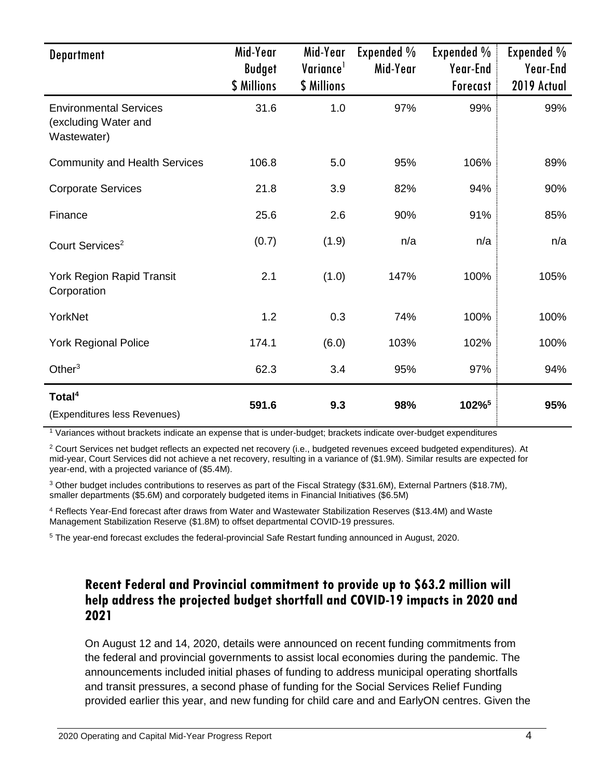| <b>Department</b>                                                    | Mid-Year<br><b>Budget</b><br>\$ Millions | Mid-Year<br>Variance <sup>1</sup><br>\$ Millions | Expended %<br>Mid-Year | Expended %<br>Year-End<br>Forecast | Expended %<br>Year-End<br>2019 Actual |
|----------------------------------------------------------------------|------------------------------------------|--------------------------------------------------|------------------------|------------------------------------|---------------------------------------|
| <b>Environmental Services</b><br>(excluding Water and<br>Wastewater) | 31.6                                     | 1.0                                              | 97%                    | 99%                                | 99%                                   |
| <b>Community and Health Services</b>                                 | 106.8                                    | 5.0                                              | 95%                    | 106%                               | 89%                                   |
| <b>Corporate Services</b>                                            | 21.8                                     | 3.9                                              | 82%                    | 94%                                | 90%                                   |
| Finance                                                              | 25.6                                     | 2.6                                              | 90%                    | 91%                                | 85%                                   |
| Court Services <sup>2</sup>                                          | (0.7)                                    | (1.9)                                            | n/a                    | n/a                                | n/a                                   |
| York Region Rapid Transit<br>Corporation                             | 2.1                                      | (1.0)                                            | 147%                   | 100%                               | 105%                                  |
| YorkNet                                                              | 1.2                                      | 0.3                                              | 74%                    | 100%                               | 100%                                  |
| <b>York Regional Police</b>                                          | 174.1                                    | (6.0)                                            | 103%                   | 102%                               | 100%                                  |
| Other $3$                                                            | 62.3                                     | 3.4                                              | 95%                    | 97%                                | 94%                                   |
| Total <sup>4</sup><br>(Expenditures less Revenues)                   | 591.6                                    | 9.3                                              | 98%                    | 102% <sup>5</sup>                  | 95%                                   |

<sup>1</sup> Variances without brackets indicate an expense that is under-budget; brackets indicate over-budget expenditures

<sup>2</sup> Court Services net budget reflects an expected net recovery (i.e., budgeted revenues exceed budgeted expenditures). At mid-year, Court Services did not achieve a net recovery, resulting in a variance of (\$1.9M). Similar results are expected for year-end, with a projected variance of (\$5.4M).

<sup>3</sup> Other budget includes contributions to reserves as part of the Fiscal Strategy (\$31.6M), External Partners (\$18.7M), smaller departments (\$5.6M) and corporately budgeted items in Financial Initiatives (\$6.5M)

<sup>4</sup> Reflects Year-End forecast after draws from Water and Wastewater Stabilization Reserves (\$13.4M) and Waste Management Stabilization Reserve (\$1.8M) to offset departmental COVID-19 pressures.

<sup>5</sup> The year-end forecast excludes the federal-provincial Safe Restart funding announced in August, 2020.

#### **Recent Federal and Provincial commitment to provide up to \$63.2 million will help address the projected budget shortfall and COVID-19 impacts in 2020 and 2021**

On August 12 and 14, 2020, details were announced on recent funding commitments from the federal and provincial governments to assist local economies during the pandemic. The announcements included initial phases of funding to address municipal operating shortfalls and transit pressures, a second phase of funding for the Social Services Relief Funding provided earlier this year, and new funding for child care and and EarlyON centres. Given the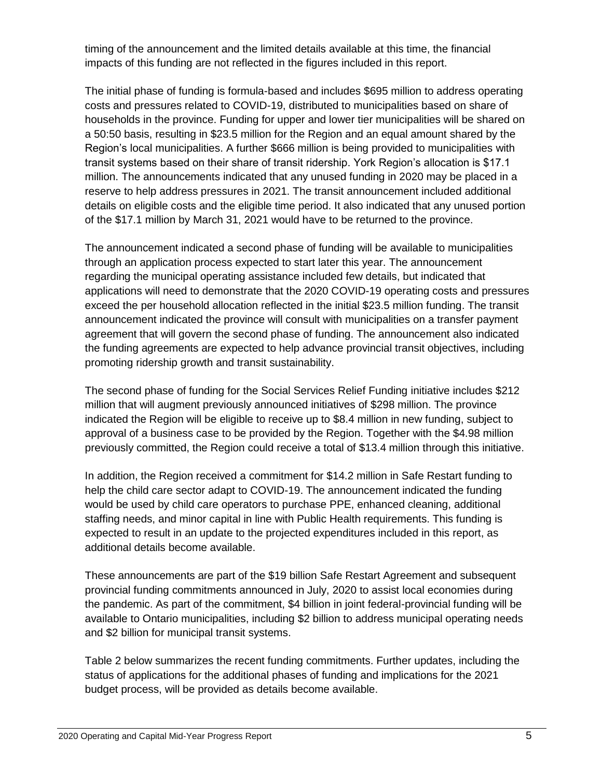timing of the announcement and the limited details available at this time, the financial impacts of this funding are not reflected in the figures included in this report.

The initial phase of funding is formula-based and includes \$695 million to address operating costs and pressures related to COVID-19, distributed to municipalities based on share of households in the province. Funding for upper and lower tier municipalities will be shared on a 50:50 basis, resulting in \$23.5 million for the Region and an equal amount shared by the Region's local municipalities. A further \$666 million is being provided to municipalities with transit systems based on their share of transit ridership. York Region's allocation is \$17.1 million. The announcements indicated that any unused funding in 2020 may be placed in a reserve to help address pressures in 2021. The transit announcement included additional details on eligible costs and the eligible time period. It also indicated that any unused portion of the \$17.1 million by March 31, 2021 would have to be returned to the province.

The announcement indicated a second phase of funding will be available to municipalities through an application process expected to start later this year. The announcement regarding the municipal operating assistance included few details, but indicated that applications will need to demonstrate that the 2020 COVID-19 operating costs and pressures exceed the per household allocation reflected in the initial \$23.5 million funding. The transit announcement indicated the province will consult with municipalities on a transfer payment agreement that will govern the second phase of funding. The announcement also indicated the funding agreements are expected to help advance provincial transit objectives, including promoting ridership growth and transit sustainability.

The second phase of funding for the Social Services Relief Funding initiative includes \$212 million that will augment previously announced initiatives of \$298 million. The province indicated the Region will be eligible to receive up to \$8.4 million in new funding, subject to approval of a business case to be provided by the Region. Together with the \$4.98 million previously committed, the Region could receive a total of \$13.4 million through this initiative.

In addition, the Region received a commitment for \$14.2 million in Safe Restart funding to help the child care sector adapt to COVID-19. The announcement indicated the funding would be used by child care operators to purchase PPE, enhanced cleaning, additional staffing needs, and minor capital in line with Public Health requirements. This funding is expected to result in an update to the projected expenditures included in this report, as additional details become available.

These announcements are part of the \$19 billion Safe Restart Agreement and subsequent provincial funding commitments announced in July, 2020 to assist local economies during the pandemic. As part of the commitment, \$4 billion in joint federal-provincial funding will be available to Ontario municipalities, including \$2 billion to address municipal operating needs and \$2 billion for municipal transit systems.

Table 2 below summarizes the recent funding commitments. Further updates, including the status of applications for the additional phases of funding and implications for the 2021 budget process, will be provided as details become available.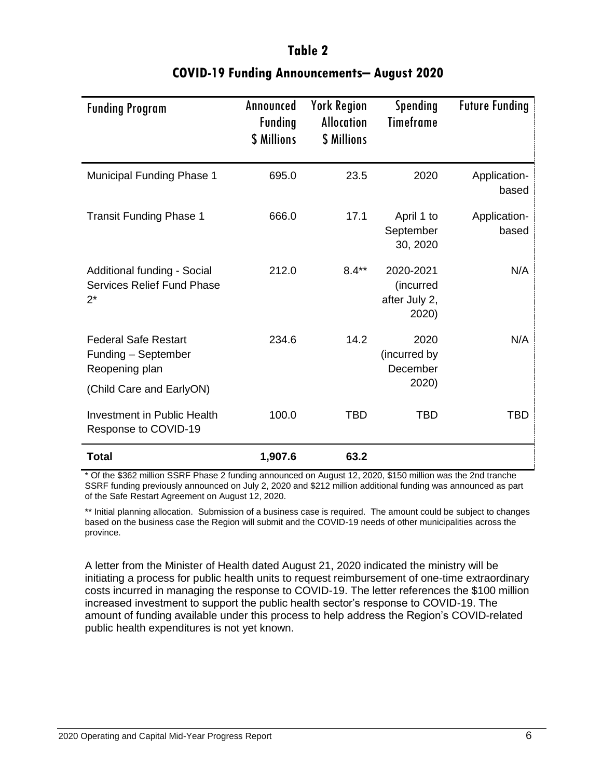| <b>Funding Program</b>                                                                           | Announced<br><b>Funding</b><br>\$ Millions | <b>York Region</b><br><b>Allocation</b><br>\$ Millions | Spending<br><b>Timeframe</b>                     | <b>Future Funding</b> |
|--------------------------------------------------------------------------------------------------|--------------------------------------------|--------------------------------------------------------|--------------------------------------------------|-----------------------|
| <b>Municipal Funding Phase 1</b>                                                                 | 695.0                                      | 23.5                                                   | 2020                                             | Application-<br>based |
| <b>Transit Funding Phase 1</b>                                                                   | 666.0                                      | 17.1                                                   | April 1 to<br>September<br>30, 2020              | Application-<br>based |
| Additional funding - Social<br><b>Services Relief Fund Phase</b><br>$2^*$                        | 212.0                                      | $8.4**$                                                | 2020-2021<br>(incurred<br>after July 2,<br>2020) | N/A                   |
| <b>Federal Safe Restart</b><br>Funding - September<br>Reopening plan<br>(Child Care and EarlyON) | 234.6                                      | 14.2                                                   | 2020<br>(incurred by<br>December<br>2020)        | N/A                   |
| <b>Investment in Public Health</b><br>Response to COVID-19                                       | 100.0                                      | <b>TBD</b>                                             | <b>TBD</b>                                       | TBD                   |
| Total                                                                                            | 1,907.6                                    | 63.2                                                   |                                                  |                       |

# **Table 2 COVID-19 Funding Announcements– August 2020**

\* Of the \$362 million SSRF Phase 2 funding announced on August 12, 2020, \$150 million was the 2nd tranche SSRF funding previously announced on July 2, 2020 and \$212 million additional funding was announced as part of the Safe Restart Agreement on August 12, 2020.

\*\* Initial planning allocation. Submission of a business case is required. The amount could be subject to changes based on the business case the Region will submit and the COVID-19 needs of other municipalities across the province.

A letter from the Minister of Health dated August 21, 2020 indicated the ministry will be initiating a process for public health units to request reimbursement of one-time extraordinary costs incurred in managing the response to COVID-19. The letter references the \$100 million increased investment to support the public health sector's response to COVID-19. The amount of funding available under this process to help address the Region's COVID-related public health expenditures is not yet known.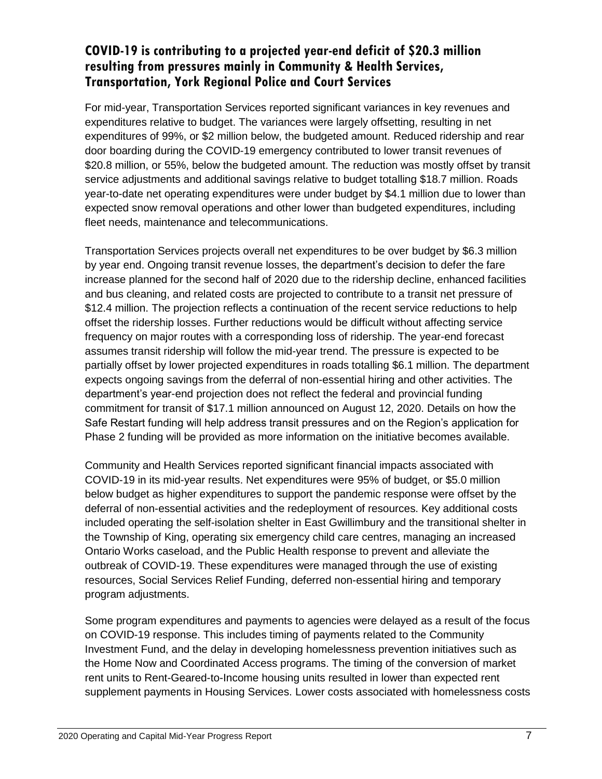#### **COVID-19 is contributing to a projected year-end deficit of \$20.3 million resulting from pressures mainly in Community & Health Services, Transportation, York Regional Police and Court Services**

For mid-year, Transportation Services reported significant variances in key revenues and expenditures relative to budget. The variances were largely offsetting, resulting in net expenditures of 99%, or \$2 million below, the budgeted amount. Reduced ridership and rear door boarding during the COVID-19 emergency contributed to lower transit revenues of \$20.8 million, or 55%, below the budgeted amount. The reduction was mostly offset by transit service adjustments and additional savings relative to budget totalling \$18.7 million. Roads year-to-date net operating expenditures were under budget by \$4.1 million due to lower than expected snow removal operations and other lower than budgeted expenditures, including fleet needs, maintenance and telecommunications.

Transportation Services projects overall net expenditures to be over budget by \$6.3 million by year end. Ongoing transit revenue losses, the department's decision to defer the fare increase planned for the second half of 2020 due to the ridership decline, enhanced facilities and bus cleaning, and related costs are projected to contribute to a transit net pressure of \$12.4 million. The projection reflects a continuation of the recent service reductions to help offset the ridership losses. Further reductions would be difficult without affecting service frequency on major routes with a corresponding loss of ridership. The year-end forecast assumes transit ridership will follow the mid-year trend. The pressure is expected to be partially offset by lower projected expenditures in roads totalling \$6.1 million. The department expects ongoing savings from the deferral of non-essential hiring and other activities. The department's year-end projection does not reflect the federal and provincial funding commitment for transit of \$17.1 million announced on August 12, 2020. Details on how the Safe Restart funding will help address transit pressures and on the Region's application for Phase 2 funding will be provided as more information on the initiative becomes available.

Community and Health Services reported significant financial impacts associated with COVID-19 in its mid-year results. Net expenditures were 95% of budget, or \$5.0 million below budget as higher expenditures to support the pandemic response were offset by the deferral of non-essential activities and the redeployment of resources. Key additional costs included operating the self-isolation shelter in East Gwillimbury and the transitional shelter in the Township of King, operating six emergency child care centres, managing an increased Ontario Works caseload, and the Public Health response to prevent and alleviate the outbreak of COVID-19. These expenditures were managed through the use of existing resources, Social Services Relief Funding, deferred non-essential hiring and temporary program adjustments.

Some program expenditures and payments to agencies were delayed as a result of the focus on COVID-19 response. This includes timing of payments related to the Community Investment Fund, and the delay in developing homelessness prevention initiatives such as the Home Now and Coordinated Access programs. The timing of the conversion of market rent units to Rent-Geared-to-Income housing units resulted in lower than expected rent supplement payments in Housing Services. Lower costs associated with homelessness costs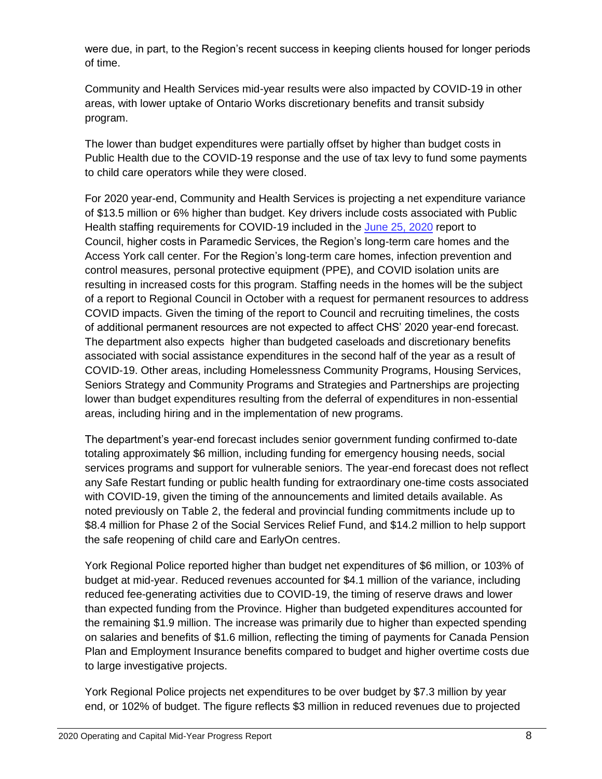were due, in part, to the Region's recent success in keeping clients housed for longer periods of time.

Community and Health Services mid-year results were also impacted by COVID-19 in other areas, with lower uptake of Ontario Works discretionary benefits and transit subsidy program.

The lower than budget expenditures were partially offset by higher than budget costs in Public Health due to the COVID-19 response and the use of tax levy to fund some payments to child care operators while they were closed.

For 2020 year-end, Community and Health Services is projecting a net expenditure variance of \$13.5 million or 6% higher than budget. Key drivers include costs associated with Public Health staffing requirements for COVID-19 included in the [June 25, 2020](https://yorkpublishing.escribemeetings.com/Meeting.aspx?Id=6448f1a8-5e6b-4c58-b30b-43d1777458f6&Agenda=Merged&lang=English&Item=42) report to Council, higher costs in Paramedic Services, the Region's long-term care homes and the Access York call center. For the Region's long-term care homes, infection prevention and control measures, personal protective equipment (PPE), and COVID isolation units are resulting in increased costs for this program. Staffing needs in the homes will be the subject of a report to Regional Council in October with a request for permanent resources to address COVID impacts. Given the timing of the report to Council and recruiting timelines, the costs of additional permanent resources are not expected to affect CHS' 2020 year-end forecast. The department also expects higher than budgeted caseloads and discretionary benefits associated with social assistance expenditures in the second half of the year as a result of COVID-19. Other areas, including Homelessness Community Programs, Housing Services, Seniors Strategy and Community Programs and Strategies and Partnerships are projecting lower than budget expenditures resulting from the deferral of expenditures in non-essential areas, including hiring and in the implementation of new programs.

The department's year-end forecast includes senior government funding confirmed to-date totaling approximately \$6 million, including funding for emergency housing needs, social services programs and support for vulnerable seniors. The year-end forecast does not reflect any Safe Restart funding or public health funding for extraordinary one-time costs associated with COVID-19, given the timing of the announcements and limited details available. As noted previously on Table 2, the federal and provincial funding commitments include up to \$8.4 million for Phase 2 of the Social Services Relief Fund, and \$14.2 million to help support the safe reopening of child care and EarlyOn centres.

York Regional Police reported higher than budget net expenditures of \$6 million, or 103% of budget at mid-year. Reduced revenues accounted for \$4.1 million of the variance, including reduced fee-generating activities due to COVID-19, the timing of reserve draws and lower than expected funding from the Province. Higher than budgeted expenditures accounted for the remaining \$1.9 million. The increase was primarily due to higher than expected spending on salaries and benefits of \$1.6 million, reflecting the timing of payments for Canada Pension Plan and Employment Insurance benefits compared to budget and higher overtime costs due to large investigative projects.

York Regional Police projects net expenditures to be over budget by \$7.3 million by year end, or 102% of budget. The figure reflects \$3 million in reduced revenues due to projected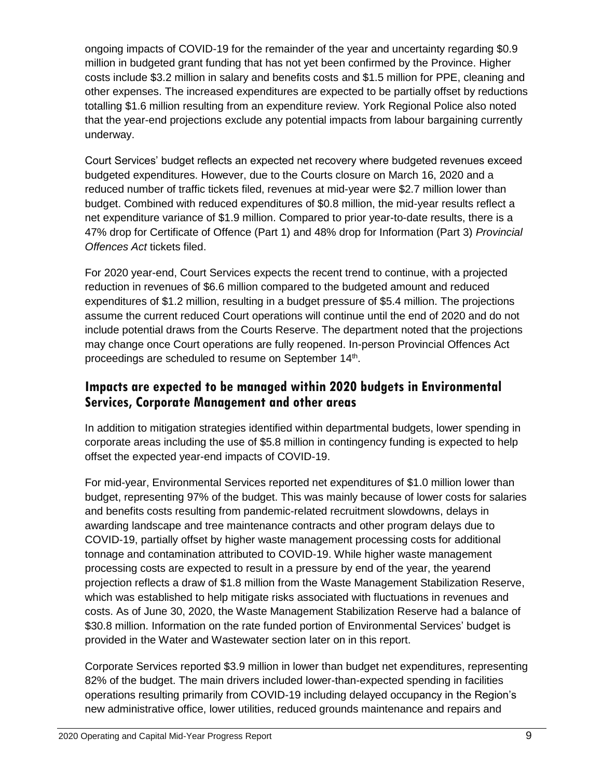ongoing impacts of COVID-19 for the remainder of the year and uncertainty regarding \$0.9 million in budgeted grant funding that has not yet been confirmed by the Province. Higher costs include \$3.2 million in salary and benefits costs and \$1.5 million for PPE, cleaning and other expenses. The increased expenditures are expected to be partially offset by reductions totalling \$1.6 million resulting from an expenditure review. York Regional Police also noted that the year-end projections exclude any potential impacts from labour bargaining currently underway.

Court Services' budget reflects an expected net recovery where budgeted revenues exceed budgeted expenditures. However, due to the Courts closure on March 16, 2020 and a reduced number of traffic tickets filed, revenues at mid-year were \$2.7 million lower than budget. Combined with reduced expenditures of \$0.8 million, the mid-year results reflect a net expenditure variance of \$1.9 million. Compared to prior year-to-date results, there is a 47% drop for Certificate of Offence (Part 1) and 48% drop for Information (Part 3) *Provincial Offences Act* tickets filed.

For 2020 year-end, Court Services expects the recent trend to continue, with a projected reduction in revenues of \$6.6 million compared to the budgeted amount and reduced expenditures of \$1.2 million, resulting in a budget pressure of \$5.4 million. The projections assume the current reduced Court operations will continue until the end of 2020 and do not include potential draws from the Courts Reserve. The department noted that the projections may change once Court operations are fully reopened. In-person Provincial Offences Act proceedings are scheduled to resume on September 14<sup>th</sup>.

### **Impacts are expected to be managed within 2020 budgets in Environmental Services, Corporate Management and other areas**

In addition to mitigation strategies identified within departmental budgets, lower spending in corporate areas including the use of \$5.8 million in contingency funding is expected to help offset the expected year-end impacts of COVID-19.

For mid-year, Environmental Services reported net expenditures of \$1.0 million lower than budget, representing 97% of the budget. This was mainly because of lower costs for salaries and benefits costs resulting from pandemic-related recruitment slowdowns, delays in awarding landscape and tree maintenance contracts and other program delays due to COVID-19, partially offset by higher waste management processing costs for additional tonnage and contamination attributed to COVID-19. While higher waste management processing costs are expected to result in a pressure by end of the year, the yearend projection reflects a draw of \$1.8 million from the Waste Management Stabilization Reserve, which was established to help mitigate risks associated with fluctuations in revenues and costs. As of June 30, 2020, the Waste Management Stabilization Reserve had a balance of \$30.8 million. Information on the rate funded portion of Environmental Services' budget is provided in the Water and Wastewater section later on in this report.

Corporate Services reported \$3.9 million in lower than budget net expenditures, representing 82% of the budget. The main drivers included lower-than-expected spending in facilities operations resulting primarily from COVID-19 including delayed occupancy in the Region's new administrative office, lower utilities, reduced grounds maintenance and repairs and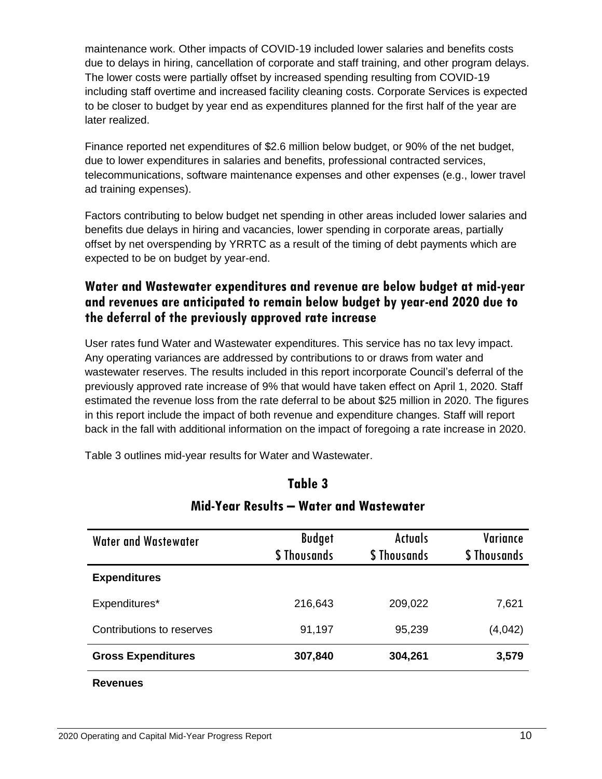maintenance work. Other impacts of COVID-19 included lower salaries and benefits costs due to delays in hiring, cancellation of corporate and staff training, and other program delays. The lower costs were partially offset by increased spending resulting from COVID-19 including staff overtime and increased facility cleaning costs. Corporate Services is expected to be closer to budget by year end as expenditures planned for the first half of the year are later realized.

Finance reported net expenditures of \$2.6 million below budget, or 90% of the net budget, due to lower expenditures in salaries and benefits, professional contracted services, telecommunications, software maintenance expenses and other expenses (e.g., lower travel ad training expenses).

Factors contributing to below budget net spending in other areas included lower salaries and benefits due delays in hiring and vacancies, lower spending in corporate areas, partially offset by net overspending by YRRTC as a result of the timing of debt payments which are expected to be on budget by year-end.

### **Water and Wastewater expenditures and revenue are below budget at mid-year and revenues are anticipated to remain below budget by year-end 2020 due to the deferral of the previously approved rate increase**

User rates fund Water and Wastewater expenditures. This service has no tax levy impact. Any operating variances are addressed by contributions to or draws from water and wastewater reserves. The results included in this report incorporate Council's deferral of the previously approved rate increase of 9% that would have taken effect on April 1, 2020. Staff estimated the revenue loss from the rate deferral to be about \$25 million in 2020. The figures in this report include the impact of both revenue and expenditure changes. Staff will report back in the fall with additional information on the impact of foregoing a rate increase in 2020.

Table 3 outlines mid-year results for Water and Wastewater.

#### **Table 3**

| Water and Wastewater      | <b>Budget</b><br>\$ Thousands | <b>Actuals</b><br>\$ Thousands | Variance<br>\$ Thousands |
|---------------------------|-------------------------------|--------------------------------|--------------------------|
| <b>Expenditures</b>       |                               |                                |                          |
| Expenditures*             | 216,643                       | 209,022                        | 7,621                    |
| Contributions to reserves | 91,197                        | 95,239                         | (4,042)                  |
| <b>Gross Expenditures</b> | 307,840                       | 304,261                        | 3,579                    |
| <b>Revenues</b>           |                               |                                |                          |

#### **Mid-Year Results – Water and Wastewater**

#### 2020 Operating and Capital Mid-Year Progress Report 10 and 2020 Operating and Capital Mid-Year Progress Report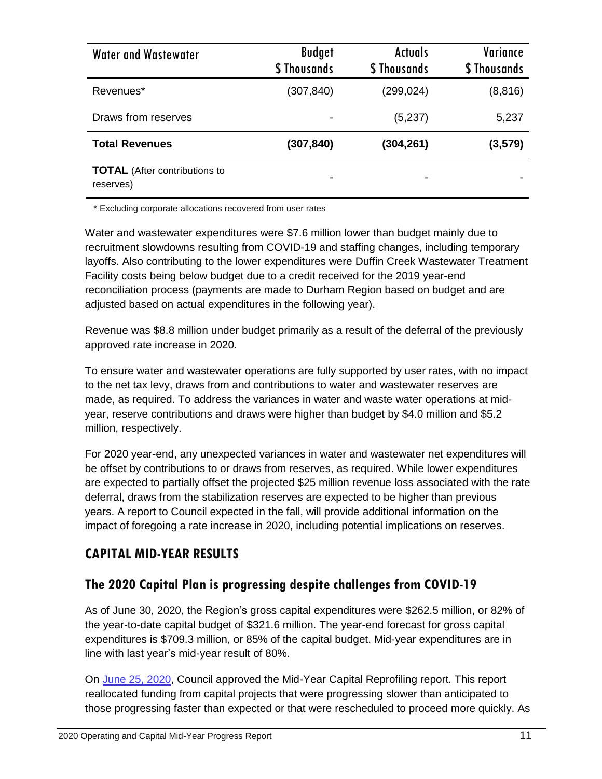| <b>Water and Wastewater</b>                       | <b>Budget</b><br>\$ Thousands | <b>Actuals</b><br>\$ Thousands | Variance<br>\$ Thousands |
|---------------------------------------------------|-------------------------------|--------------------------------|--------------------------|
| Revenues*                                         | (307, 840)                    | (299,024)                      | (8, 816)                 |
| Draws from reserves                               |                               | (5,237)                        | 5,237                    |
| <b>Total Revenues</b>                             | (307, 840)                    | (304,261)                      | (3, 579)                 |
| <b>TOTAL</b> (After contributions to<br>reserves) |                               |                                |                          |

\* Excluding corporate allocations recovered from user rates

Water and wastewater expenditures were \$7.6 million lower than budget mainly due to recruitment slowdowns resulting from COVID-19 and staffing changes, including temporary layoffs. Also contributing to the lower expenditures were Duffin Creek Wastewater Treatment Facility costs being below budget due to a credit received for the 2019 year-end reconciliation process (payments are made to Durham Region based on budget and are adjusted based on actual expenditures in the following year).

Revenue was \$8.8 million under budget primarily as a result of the deferral of the previously approved rate increase in 2020.

To ensure water and wastewater operations are fully supported by user rates, with no impact to the net tax levy, draws from and contributions to water and wastewater reserves are made, as required. To address the variances in water and waste water operations at midyear, reserve contributions and draws were higher than budget by \$4.0 million and \$5.2 million, respectively.

For 2020 year-end, any unexpected variances in water and wastewater net expenditures will be offset by contributions to or draws from reserves, as required. While lower expenditures are expected to partially offset the projected \$25 million revenue loss associated with the rate deferral, draws from the stabilization reserves are expected to be higher than previous years. A report to Council expected in the fall, will provide additional information on the impact of foregoing a rate increase in 2020, including potential implications on reserves.

## **CAPITAL MID-YEAR RESULTS**

### **The 2020 Capital Plan is progressing despite challenges from COVID-19**

As of June 30, 2020, the Region's gross capital expenditures were \$262.5 million, or 82% of the year-to-date capital budget of \$321.6 million. The year-end forecast for gross capital expenditures is \$709.3 million, or 85% of the capital budget. Mid-year expenditures are in line with last year's mid-year result of 80%.

On [June 25, 2020,](https://yorkpublishing.escribemeetings.com/filestream.ashx?DocumentId=7487) Council approved the Mid-Year Capital Reprofiling report. This report reallocated funding from capital projects that were progressing slower than anticipated to those progressing faster than expected or that were rescheduled to proceed more quickly. As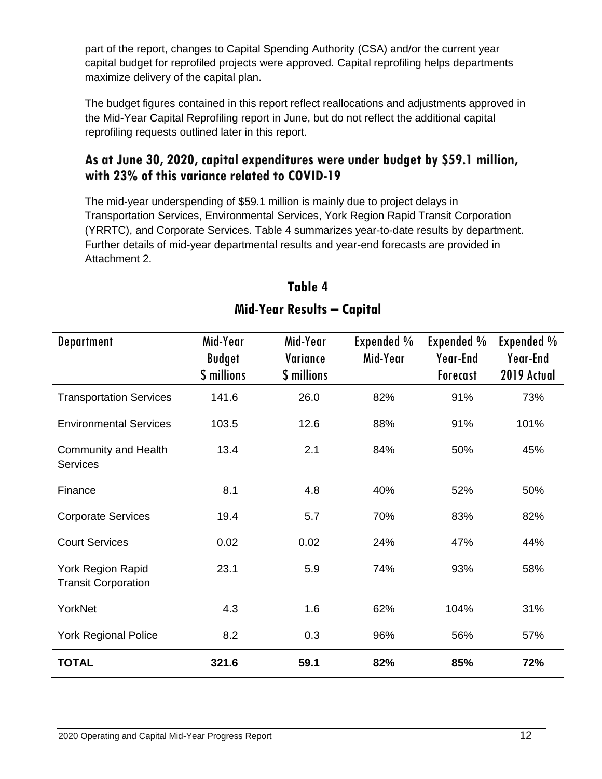part of the report, changes to Capital Spending Authority (CSA) and/or the current year capital budget for reprofiled projects were approved. Capital reprofiling helps departments maximize delivery of the capital plan.

The budget figures contained in this report reflect reallocations and adjustments approved in the Mid-Year Capital Reprofiling report in June, but do not reflect the additional capital reprofiling requests outlined later in this report.

### **As at June 30, 2020, capital expenditures were under budget by \$59.1 million, with 23% of this variance related to COVID-19**

The mid-year underspending of \$59.1 million is mainly due to project delays in Transportation Services, Environmental Services, York Region Rapid Transit Corporation (YRRTC), and Corporate Services. Table 4 summarizes year-to-date results by department. Further details of mid-year departmental results and year-end forecasts are provided in Attachment 2.

| <b>Department</b>                               | Mid-Year<br><b>Budget</b><br>\$ millions | Mid-Year<br>Variance<br>\$ millions | Expended %<br>Mid-Year | Expended %<br>Year-End<br><b>Forecast</b> | Expended %<br>Year-End<br>2019 Actual |
|-------------------------------------------------|------------------------------------------|-------------------------------------|------------------------|-------------------------------------------|---------------------------------------|
| <b>Transportation Services</b>                  | 141.6                                    | 26.0                                | 82%                    | 91%                                       | 73%                                   |
| <b>Environmental Services</b>                   | 103.5                                    | 12.6                                | 88%                    | 91%                                       | 101%                                  |
| <b>Community and Health</b><br><b>Services</b>  | 13.4                                     | 2.1                                 | 84%                    | 50%                                       | 45%                                   |
| Finance                                         | 8.1                                      | 4.8                                 | 40%                    | 52%                                       | 50%                                   |
| <b>Corporate Services</b>                       | 19.4                                     | 5.7                                 | 70%                    | 83%                                       | 82%                                   |
| <b>Court Services</b>                           | 0.02                                     | 0.02                                | 24%                    | 47%                                       | 44%                                   |
| York Region Rapid<br><b>Transit Corporation</b> | 23.1                                     | 5.9                                 | 74%                    | 93%                                       | 58%                                   |
| YorkNet                                         | 4.3                                      | 1.6                                 | 62%                    | 104%                                      | 31%                                   |
| <b>York Regional Police</b>                     | 8.2                                      | 0.3                                 | 96%                    | 56%                                       | 57%                                   |
| <b>TOTAL</b>                                    | 321.6                                    | 59.1                                | 82%                    | 85%                                       | 72%                                   |

# **Table 4 Mid-Year Results – Capital**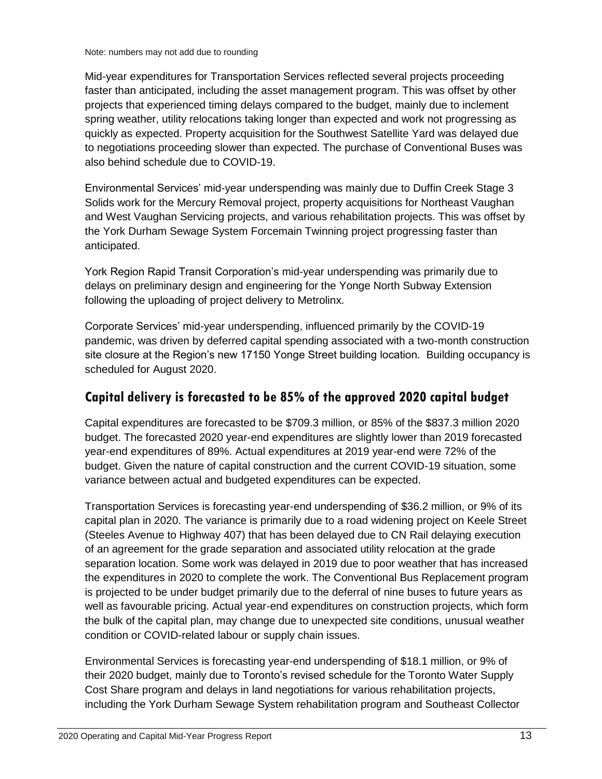Mid-year expenditures for Transportation Services reflected several projects proceeding faster than anticipated, including the asset management program. This was offset by other projects that experienced timing delays compared to the budget, mainly due to inclement spring weather, utility relocations taking longer than expected and work not progressing as quickly as expected. Property acquisition for the Southwest Satellite Yard was delayed due to negotiations proceeding slower than expected. The purchase of Conventional Buses was also behind schedule due to COVID-19.

Environmental Services' mid-year underspending was mainly due to Duffin Creek Stage 3 Solids work for the Mercury Removal project, property acquisitions for Northeast Vaughan and West Vaughan Servicing projects, and various rehabilitation projects. This was offset by the York Durham Sewage System Forcemain Twinning project progressing faster than anticipated.

York Region Rapid Transit Corporation's mid-year underspending was primarily due to delays on preliminary design and engineering for the Yonge North Subway Extension following the uploading of project delivery to Metrolinx.

Corporate Services' mid-year underspending, influenced primarily by the COVID-19 pandemic, was driven by deferred capital spending associated with a two-month construction site closure at the Region's new 17150 Yonge Street building location. Building occupancy is scheduled for August 2020.

### **Capital delivery is forecasted to be 85% of the approved 2020 capital budget**

Capital expenditures are forecasted to be \$709.3 million, or 85% of the \$837.3 million 2020 budget. The forecasted 2020 year-end expenditures are slightly lower than 2019 forecasted year-end expenditures of 89%. Actual expenditures at 2019 year-end were 72% of the budget. Given the nature of capital construction and the current COVID-19 situation, some variance between actual and budgeted expenditures can be expected.

Transportation Services is forecasting year-end underspending of \$36.2 million, or 9% of its capital plan in 2020. The variance is primarily due to a road widening project on Keele Street (Steeles Avenue to Highway 407) that has been delayed due to CN Rail delaying execution of an agreement for the grade separation and associated utility relocation at the grade separation location. Some work was delayed in 2019 due to poor weather that has increased the expenditures in 2020 to complete the work. The Conventional Bus Replacement program is projected to be under budget primarily due to the deferral of nine buses to future years as well as favourable pricing. Actual year-end expenditures on construction projects, which form the bulk of the capital plan, may change due to unexpected site conditions, unusual weather condition or COVID-related labour or supply chain issues.

Environmental Services is forecasting year-end underspending of \$18.1 million, or 9% of their 2020 budget, mainly due to Toronto's revised schedule for the Toronto Water Supply Cost Share program and delays in land negotiations for various rehabilitation projects, including the York Durham Sewage System rehabilitation program and Southeast Collector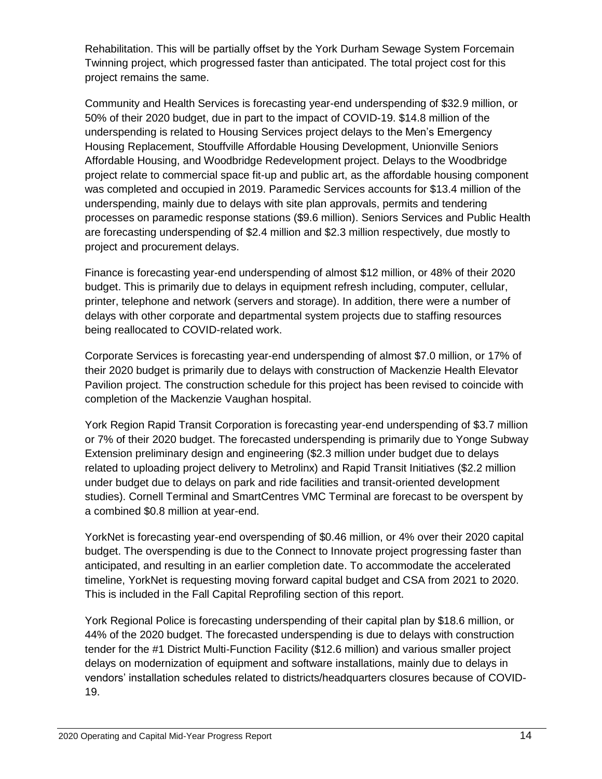Rehabilitation. This will be partially offset by the York Durham Sewage System Forcemain Twinning project, which progressed faster than anticipated. The total project cost for this project remains the same.

Community and Health Services is forecasting year-end underspending of \$32.9 million, or 50% of their 2020 budget, due in part to the impact of COVID-19. \$14.8 million of the underspending is related to Housing Services project delays to the Men's Emergency Housing Replacement, Stouffville Affordable Housing Development, Unionville Seniors Affordable Housing, and Woodbridge Redevelopment project. Delays to the Woodbridge project relate to commercial space fit-up and public art, as the affordable housing component was completed and occupied in 2019. Paramedic Services accounts for \$13.4 million of the underspending, mainly due to delays with site plan approvals, permits and tendering processes on paramedic response stations (\$9.6 million). Seniors Services and Public Health are forecasting underspending of \$2.4 million and \$2.3 million respectively, due mostly to project and procurement delays.

Finance is forecasting year-end underspending of almost \$12 million, or 48% of their 2020 budget. This is primarily due to delays in equipment refresh including, computer, cellular, printer, telephone and network (servers and storage). In addition, there were a number of delays with other corporate and departmental system projects due to staffing resources being reallocated to COVID-related work.

Corporate Services is forecasting year-end underspending of almost \$7.0 million, or 17% of their 2020 budget is primarily due to delays with construction of Mackenzie Health Elevator Pavilion project. The construction schedule for this project has been revised to coincide with completion of the Mackenzie Vaughan hospital.

York Region Rapid Transit Corporation is forecasting year-end underspending of \$3.7 million or 7% of their 2020 budget. The forecasted underspending is primarily due to Yonge Subway Extension preliminary design and engineering (\$2.3 million under budget due to delays related to uploading project delivery to Metrolinx) and Rapid Transit Initiatives (\$2.2 million under budget due to delays on park and ride facilities and transit-oriented development studies). Cornell Terminal and SmartCentres VMC Terminal are forecast to be overspent by a combined \$0.8 million at year-end.

YorkNet is forecasting year-end overspending of \$0.46 million, or 4% over their 2020 capital budget. The overspending is due to the Connect to Innovate project progressing faster than anticipated, and resulting in an earlier completion date. To accommodate the accelerated timeline, YorkNet is requesting moving forward capital budget and CSA from 2021 to 2020. This is included in the Fall Capital Reprofiling section of this report.

York Regional Police is forecasting underspending of their capital plan by \$18.6 million, or 44% of the 2020 budget. The forecasted underspending is due to delays with construction tender for the #1 District Multi-Function Facility (\$12.6 million) and various smaller project delays on modernization of equipment and software installations, mainly due to delays in vendors' installation schedules related to districts/headquarters closures because of COVID-19.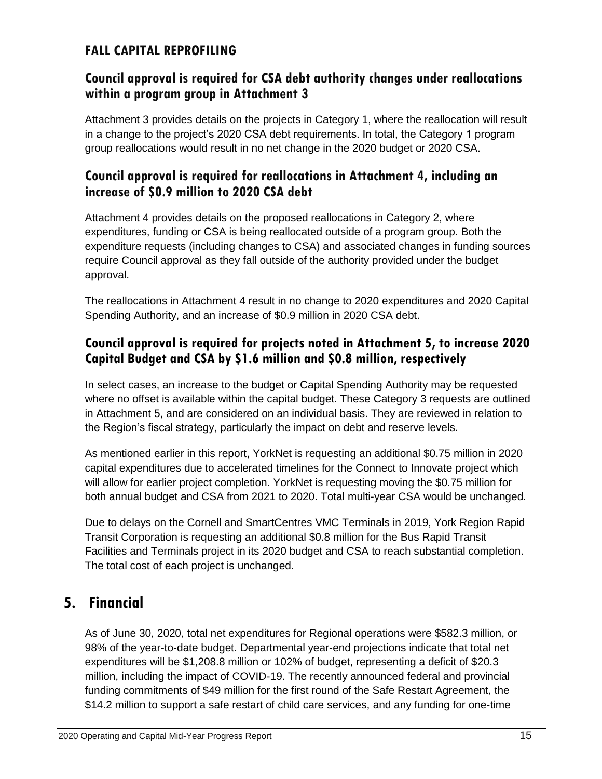### **FALL CAPITAL REPROFILING**

#### **Council approval is required for CSA debt authority changes under reallocations within a program group in Attachment 3**

Attachment 3 provides details on the projects in Category 1, where the reallocation will result in a change to the project's 2020 CSA debt requirements. In total, the Category 1 program group reallocations would result in no net change in the 2020 budget or 2020 CSA.

#### **Council approval is required for reallocations in Attachment 4, including an increase of \$0.9 million to 2020 CSA debt**

Attachment 4 provides details on the proposed reallocations in Category 2, where expenditures, funding or CSA is being reallocated outside of a program group. Both the expenditure requests (including changes to CSA) and associated changes in funding sources require Council approval as they fall outside of the authority provided under the budget approval.

The reallocations in Attachment 4 result in no change to 2020 expenditures and 2020 Capital Spending Authority, and an increase of \$0.9 million in 2020 CSA debt.

### **Council approval is required for projects noted in Attachment 5, to increase 2020 Capital Budget and CSA by \$1.6 million and \$0.8 million, respectively**

In select cases, an increase to the budget or Capital Spending Authority may be requested where no offset is available within the capital budget. These Category 3 requests are outlined in Attachment 5, and are considered on an individual basis. They are reviewed in relation to the Region's fiscal strategy, particularly the impact on debt and reserve levels.

As mentioned earlier in this report, YorkNet is requesting an additional \$0.75 million in 2020 capital expenditures due to accelerated timelines for the Connect to Innovate project which will allow for earlier project completion. YorkNet is requesting moving the \$0.75 million for both annual budget and CSA from 2021 to 2020. Total multi-year CSA would be unchanged.

Due to delays on the Cornell and SmartCentres VMC Terminals in 2019, York Region Rapid Transit Corporation is requesting an additional \$0.8 million for the Bus Rapid Transit Facilities and Terminals project in its 2020 budget and CSA to reach substantial completion. The total cost of each project is unchanged.

# **5. Financial**

As of June 30, 2020, total net expenditures for Regional operations were \$582.3 million, or 98% of the year-to-date budget. Departmental year-end projections indicate that total net expenditures will be \$1,208.8 million or 102% of budget, representing a deficit of \$20.3 million, including the impact of COVID-19. The recently announced federal and provincial funding commitments of \$49 million for the first round of the Safe Restart Agreement, the \$14.2 million to support a safe restart of child care services, and any funding for one-time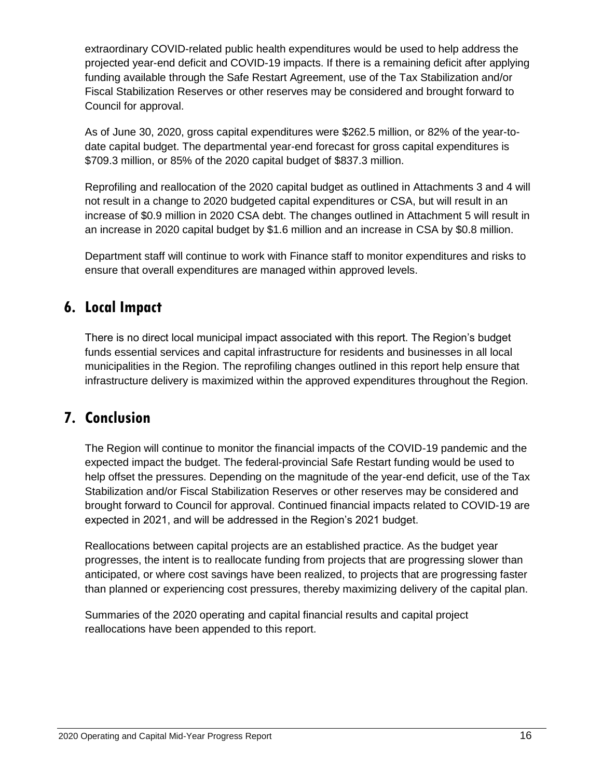extraordinary COVID-related public health expenditures would be used to help address the projected year-end deficit and COVID-19 impacts. If there is a remaining deficit after applying funding available through the Safe Restart Agreement, use of the Tax Stabilization and/or Fiscal Stabilization Reserves or other reserves may be considered and brought forward to Council for approval.

As of June 30, 2020, gross capital expenditures were \$262.5 million, or 82% of the year-todate capital budget. The departmental year-end forecast for gross capital expenditures is \$709.3 million, or 85% of the 2020 capital budget of \$837.3 million.

Reprofiling and reallocation of the 2020 capital budget as outlined in Attachments 3 and 4 will not result in a change to 2020 budgeted capital expenditures or CSA, but will result in an increase of \$0.9 million in 2020 CSA debt. The changes outlined in Attachment 5 will result in an increase in 2020 capital budget by \$1.6 million and an increase in CSA by \$0.8 million.

Department staff will continue to work with Finance staff to monitor expenditures and risks to ensure that overall expenditures are managed within approved levels.

# **6. Local Impact**

There is no direct local municipal impact associated with this report. The Region's budget funds essential services and capital infrastructure for residents and businesses in all local municipalities in the Region. The reprofiling changes outlined in this report help ensure that infrastructure delivery is maximized within the approved expenditures throughout the Region.

# **7. Conclusion**

The Region will continue to monitor the financial impacts of the COVID-19 pandemic and the expected impact the budget. The federal-provincial Safe Restart funding would be used to help offset the pressures. Depending on the magnitude of the year-end deficit, use of the Tax Stabilization and/or Fiscal Stabilization Reserves or other reserves may be considered and brought forward to Council for approval. Continued financial impacts related to COVID-19 are expected in 2021, and will be addressed in the Region's 2021 budget.

Reallocations between capital projects are an established practice. As the budget year progresses, the intent is to reallocate funding from projects that are progressing slower than anticipated, or where cost savings have been realized, to projects that are progressing faster than planned or experiencing cost pressures, thereby maximizing delivery of the capital plan.

Summaries of the 2020 operating and capital financial results and capital project reallocations have been appended to this report.